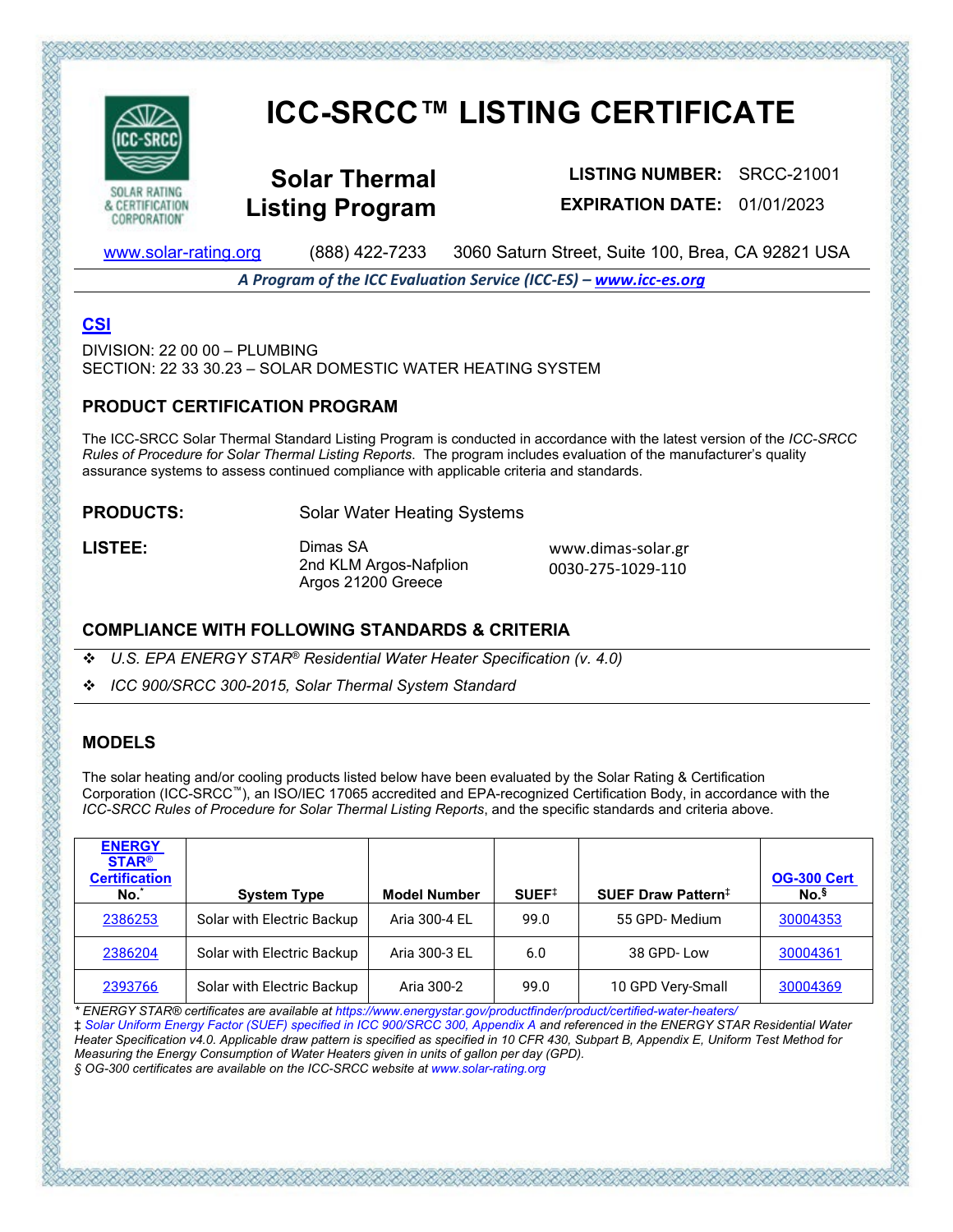

CORPORATION'

# **ICC-SRCC™ LISTING CERTIFICATE**

**Solar Thermal Listing Program**

**LISTING NUMBER:** SRCC-21001 **EXPIRATION DATE:** 01/01/2023

www.solar-rating.org (888) 422-7233 3060 Saturn Street, Suite 100, Brea, CA 92821 USA

*A Program of the ICC Evaluation Service (ICC-ES) – www.icc-es.org*

## **CSI**

 $DIVISION: 22,00,00 - PI UMRING$ SECTION: 22 33 30.23 – SOLAR DOMESTIC WATER HEATING SYSTEM

#### **PRODUCT CERTIFICATION PROGRAM**

The ICC-SRCC Solar Thermal Standard Listing Program is conducted in accordance with the latest version of the *ICC-SRCC Rules of Procedure for Solar Thermal Listing Reports*. The program includes evaluation of the manufacturer's quality assurance systems to assess continued compliance with applicable criteria and standards.

**PRODUCTS:** Solar Water Heating Systems

LISTEE: Dimas SA 2nd KLM Argos-Nafplion Argos 21200 Greece

www.dimas-solar.gr 0030-275-1029-110

#### **COMPLIANCE WITH FOLLOWING STANDARDS & CRITERIA**

*U.S. EPA ENERGY STAR® Residential Water Heater Specification (v. 4.0)*

*ICC 900/SRCC 300-2015, Solar Thermal System Standard*

### **MODELS**

The solar heating and/or cooling products listed below have been evaluated by the Solar Rating & Certification Corporation (ICC-SRCC™), an ISO/IEC 17065 accredited and EPA-recognized Certification Body, in accordance with the *ICC-SRCC Rules of Procedure for Solar Thermal Listing Reports*, and the specific standards and criteria above.

| <b>ENERGY</b><br><b>STAR®</b><br><b>Certification</b><br>No. | <b>System Type</b>         | <b>Model Number</b> | SUEF <sup>‡</sup> | SUEF Draw Pattern <sup>‡</sup> | <b>OG-300 Cert</b><br>No. <sup>§</sup> |
|--------------------------------------------------------------|----------------------------|---------------------|-------------------|--------------------------------|----------------------------------------|
| 2386253                                                      | Solar with Electric Backup | Aria 300-4 EL       | 99.0              | 55 GPD-Medium                  | 30004353                               |
| 2386204                                                      | Solar with Electric Backup | Aria 300-3 EL       | 6.0               | 38 GPD-Low                     | 30004361                               |
| 2393766                                                      | Solar with Electric Backup | Aria 300-2          | 99.0              | 10 GPD Very-Small              | 30004369                               |

*\* ENERGY STAR® certificates are available at https://www.energystar.gov/productfinder/product/certified-water-heaters/* 

‡ *Solar Uniform Energy Factor (SUEF) specified in ICC 900/SRCC 300, Appendix A and referenced in the ENERGY STAR Residential Water Heater Specification v4.0. Applicable draw pattern is specified as specified in 10 CFR 430, Subpart B, Appendix E, Uniform Test Method for Measuring the Energy Consumption of Water Heaters given in units of gallon per day (GPD).* 

あでもおとことだいかいだいがたいだいがたいだいがたいだいがたいだいだいがく

*§ OG-300 certificates are available on the ICC-SRCC website at www.solar-rating.org*